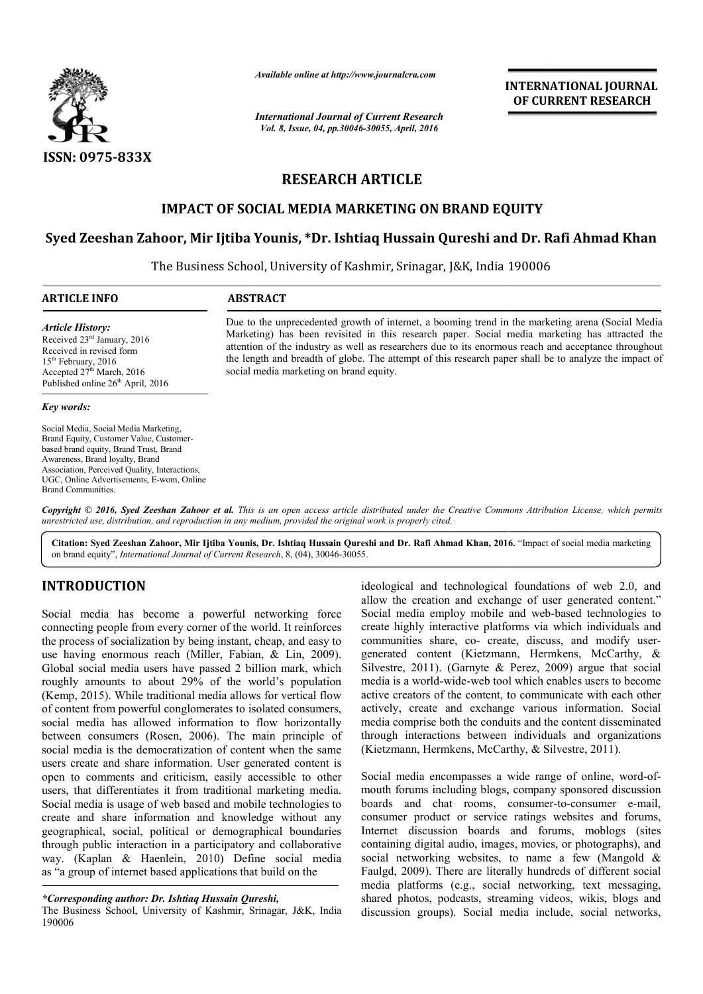

*Available online at http://www.journalcra.com*

*International Journal of Current Research Vol. 8, Issue, 04, pp.30046-30055, April, 2016*

**INTERNATIONAL JOURNAL OF CURRENT RESEARCH** 

# **RESEARCH ARTICLE**

# **IMPACT OF SOCIAL MEDIA MARKETING ON BRAND EQUITY**

# IMPACT OF SOCIAL MEDIA MARKETING ON BRAND EQUITY<br>Syed Zeeshan Zahoor, Mir Ijtiba Younis, \*Dr. Ishtiaq Hussain Qureshi and Dr. Rafi Ahmad Khan

The Business School, University of Kashmir, Srinagar, J&K, India 190006  $\overline{a}$ 

### **ARTICLE INFO ABSTRACT**

#### *Article History:*

Received 23rd January, 2016 Received in revised form 15<sup>th</sup> February, 2016 Accepted  $27<sup>th</sup>$  March, 2016 Published online 26<sup>th</sup> April, 2016

*Key words:*

Social Media, Social Media Marketing, Brand Equity, Customer Value, Customerbased brand equity, Brand Trust, Brand Awareness, Brand loyalty, Brand Association, Perceived Quality, Interactions, UGC, Online Advertisements, E-wom, Online Brand Communities.

Due to the unprecedented growth of internet, a booming trend in the marketing arena (Social Media Due to the unprecedented growth of internet, a booming trend in the marketing arena (Social Media Marketing) has been revisited in this research paper. Social media marketing has attracted the attention of the industry as well as researchers due to its enormous reach and acceptance throughout attention of the industry as well as researchers due to its enormous reach and acceptance throughout the length and breadth of globe. The attempt of this research paper shall be to analyze the impact of social media marketing on brand equity.

Copyright © 2016, Syed Zeeshan Zahoor et al. This is an open access article distributed under the Creative Commons Attribution License, which permits *unrestricted use, distribution, and reproduction in any medium, provided the original work is properly cited.*

**Citation: Syed Zeeshan Zahoor, Mir Ijtiba Younis, Dr. Ishtiaq Hussain Qureshi and Dr. Rafi Ahmad Khan, 2016. 2016.** "Impact of social media marketing on brand equity", *International Journal of Current Research* , 8, (04), 30046-30055.

# **INTRODUCTION**

Social media has become a powerful networking force connecting people from every corner of the world. It reinforces the process of socialization by being instant, cheap, and easy to use having enormous reach (Miller, Fabian, & Lin, 2 2009). Global social media users have passed 2 billion mark, which roughly amounts to about 29% of the world's population (Kemp, 2015). While traditional media allows for vertical flow of content from powerful conglomerates to isolated consumers, social media has allowed information to flow horizontally between consumers (Rosen, 2006). The main principle of social media is the democratization of content when the same users create and share information. User generated content is open to comments and criticism, easily accessible to other users, that differentiates it from traditional marketing media. Social media is usage of web based and mobile technologies to create and share information and knowledge without any geographical, social, political or demographical boundaries through public interaction in a participatory and collaborative way. (Kaplan & Haenlein, 2010) Define social media as "a group of internet based applications that build on the ideological and technological foundations of web 2.0, and<br>
ideological media has become a powerful networking force<br>
Social media employ mobile and exchapse of user<br>
onnecting people from every corner of the world. It rein

## *\*Corresponding author: Dr. Ishtiaq Hussain Qureshi,*

The Business School, University of Kashmir, Srinagar, J&K, India 190006

allow the creation and exchange of user generated content." ideological and technological foundations of web 2.0, and allow the creation and exchange of user generated content."<br>Social media employ mobile and web-based technologies to create highly interactive platforms via which individuals and create highly interactive platforms via which individuals and communities share, co- create, discuss, and modify usergenerated content (Kietzmann, Hermkens, McCarthy, & Silvestre, 2011). (Garnyte & Perez, 2009) argue that social media is a world-wide-web tool which enables users to become active creators of the content, to communicate with each other actively, create and exchange various information. Social media comprise both the conduits and the content dissem through interactions between individuals and organizations through interactions between individuals and organ (Kietzmann, Hermkens, McCarthy, & Silvestre, 2011). d-wide-web tool which enables users to become<br>of the content, to communicate with each other<br>e and exchange various information. Social<br>e both the conduits and the content disseminated **EXERATIONAL JOURNAL CONSTRATE (SECURE AT THE ANTION ALL OF CURRENT RESEARCH**<br> **CLE**<br> **NG ON BRAND EQUITY**<br> **NG ON BRAND EQUITY**<br> **NG ON BRAND EQUITY**<br> **NG ON BRAND EQUITY**<br> **NESSAIN CLE**<br> **NG ON BRAND EQUITY**<br> **NESSAIN PR** 

Social media encompasses a wide range of online, word-ofmouth forums including blogs, company sponsored discussion boards and chat rooms, consumer-to-consumer e-mail, consumer product or service ratings websites and forums, Internet discussion boards and forums, moblogs (sites containing digital audio, images, movies, or photographs), and social networking websites, to name a few (Mangold  $\&$ Faulgd, 2009). There are literally hundreds of different social media platforms (e.g., social networking, text messaging, shared photos, podcasts, streaming videos, wikis, blogs and discussion groups). Social media include, social networks, service ratings websites and forums, boards and forums, moblogs (sites io, images, movies, or photographs), and ebsites, to name a few (Mangold  $\&$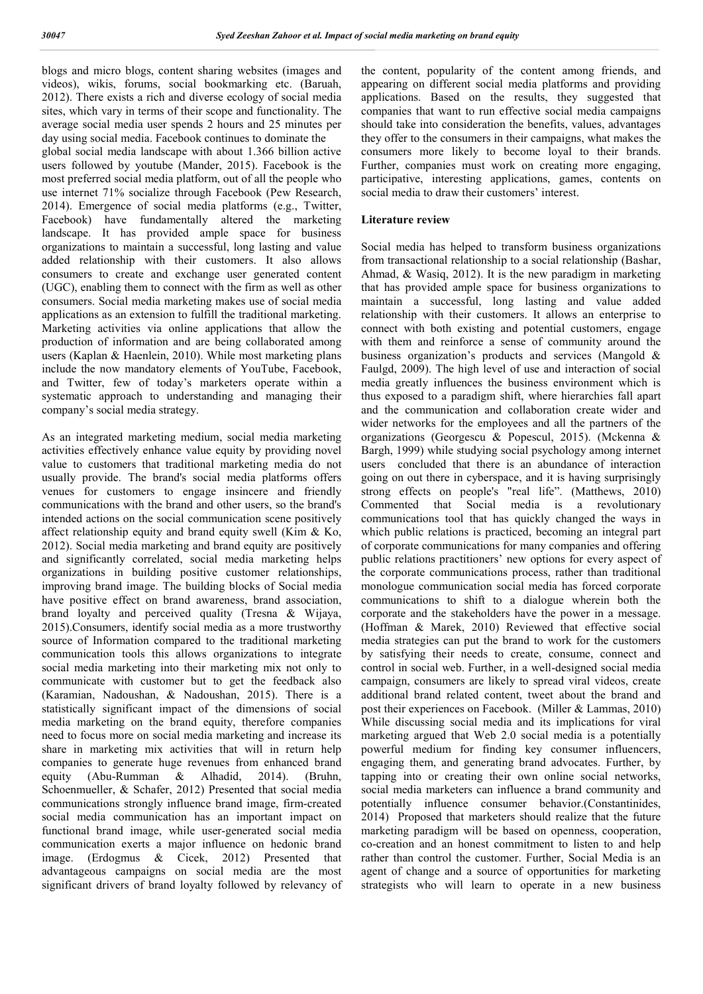blogs and micro blogs, content sharing websites (images and videos), wikis, forums, social bookmarking etc. (Baruah, 2012). There exists a rich and diverse ecology of social media sites, which vary in terms of their scope and functionality. The average social media user spends 2 hours and 25 minutes per day using social media. Facebook continues to dominate the global social media landscape with about 1.366 billion active users followed by youtube (Mander, 2015). Facebook is the most preferred social media platform, out of all the people who use internet 71% socialize through Facebook (Pew Research, 2014). Emergence of social media platforms (e.g., Twitter, Facebook) have fundamentally altered the marketing landscape. It has provided ample space for business organizations to maintain a successful, long lasting and value added relationship with their customers. It also allows consumers to create and exchange user generated content (UGC), enabling them to connect with the firm as well as other consumers. Social media marketing makes use of social media applications as an extension to fulfill the traditional marketing. Marketing activities via online applications that allow the production of information and are being collaborated among users (Kaplan & Haenlein, 2010). While most marketing plans include the now mandatory elements of YouTube, Facebook, and Twitter, few of today's marketers operate within a systematic approach to understanding and managing their company's social media strategy.

As an integrated marketing medium, social media marketing activities effectively enhance value equity by providing novel value to customers that traditional marketing media do not usually provide. The brand's social media platforms offers venues for customers to engage insincere and friendly communications with the brand and other users, so the brand's intended actions on the social communication scene positively affect relationship equity and brand equity swell (Kim & Ko, 2012). Social media marketing and brand equity are positively and significantly correlated, social media marketing helps organizations in building positive customer relationships, improving brand image. The building blocks of Social media have positive effect on brand awareness, brand association, brand loyalty and perceived quality (Tresna & Wijaya, 2015).Consumers, identify social media as a more trustworthy source of Information compared to the traditional marketing communication tools this allows organizations to integrate social media marketing into their marketing mix not only to communicate with customer but to get the feedback also (Karamian, Nadoushan, & Nadoushan, 2015). There is a statistically significant impact of the dimensions of social media marketing on the brand equity, therefore companies need to focus more on social media marketing and increase its share in marketing mix activities that will in return help companies to generate huge revenues from enhanced brand equity (Abu-Rumman & Alhadid, 2014). (Bruhn, Schoenmueller, & Schafer, 2012) Presented that social media communications strongly influence brand image, firm-created social media communication has an important impact on functional brand image, while user-generated social media communication exerts a major influence on hedonic brand image. (Erdogmus & Cicek, 2012) Presented that advantageous campaigns on social media are the most significant drivers of brand loyalty followed by relevancy of the content, popularity of the content among friends, and appearing on different social media platforms and providing applications. Based on the results, they suggested that companies that want to run effective social media campaigns should take into consideration the benefits, values, advantages they offer to the consumers in their campaigns, what makes the consumers more likely to become loyal to their brands. Further, companies must work on creating more engaging, participative, interesting applications, games, contents on social media to draw their customers' interest.

#### **Literature review**

Social media has helped to transform business organizations from transactional relationship to a social relationship (Bashar, Ahmad, & Wasiq, 2012). It is the new paradigm in marketing that has provided ample space for business organizations to maintain a successful, long lasting and value added relationship with their customers. It allows an enterprise to connect with both existing and potential customers, engage with them and reinforce a sense of community around the business organization's products and services (Mangold & Faulgd, 2009). The high level of use and interaction of social media greatly influences the business environment which is thus exposed to a paradigm shift, where hierarchies fall apart and the communication and collaboration create wider and wider networks for the employees and all the partners of the organizations (Georgescu & Popescul, 2015). (Mckenna & Bargh, 1999) while studying social psychology among internet users concluded that there is an abundance of interaction going on out there in cyberspace, and it is having surprisingly strong effects on people's "real life". (Matthews, 2010) Commented that Social media is a revolutionary communications tool that has quickly changed the ways in which public relations is practiced, becoming an integral part of corporate communications for many companies and offering public relations practitioners' new options for every aspect of the corporate communications process, rather than traditional monologue communication social media has forced corporate communications to shift to a dialogue wherein both the corporate and the stakeholders have the power in a message. (Hoffman & Marek, 2010) Reviewed that effective social media strategies can put the brand to work for the customers by satisfying their needs to create, consume, connect and control in social web. Further, in a well-designed social media campaign, consumers are likely to spread viral videos, create additional brand related content, tweet about the brand and post their experiences on Facebook. (Miller & Lammas, 2010) While discussing social media and its implications for viral marketing argued that Web 2.0 social media is a potentially powerful medium for finding key consumer influencers, engaging them, and generating brand advocates. Further, by tapping into or creating their own online social networks, social media marketers can influence a brand community and potentially influence consumer behavior.(Constantinides, 2014) Proposed that marketers should realize that the future marketing paradigm will be based on openness, cooperation, co-creation and an honest commitment to listen to and help rather than control the customer. Further, Social Media is an agent of change and a source of opportunities for marketing strategists who will learn to operate in a new business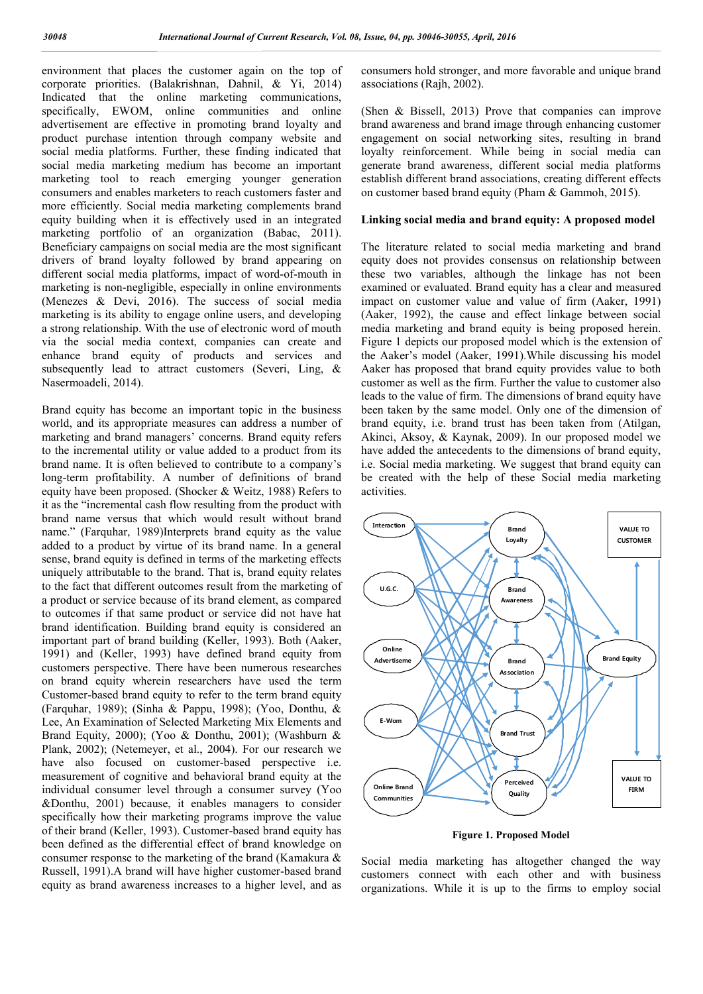environment that places the customer again on the top of corporate priorities. (Balakrishnan, Dahnil, & Yi, 2014) Indicated that the online marketing communications, specifically, EWOM, online communities and online advertisement are effective in promoting brand loyalty and product purchase intention through company website and social media platforms. Further, these finding indicated that social media marketing medium has become an important marketing tool to reach emerging younger generation consumers and enables marketers to reach customers faster and more efficiently. Social media marketing complements brand equity building when it is effectively used in an integrated marketing portfolio of an organization (Babac, 2011). Beneficiary campaigns on social media are the most significant drivers of brand loyalty followed by brand appearing on different social media platforms, impact of word-of-mouth in marketing is non-negligible, especially in online environments (Menezes & Devi, 2016). The success of social media marketing is its ability to engage online users, and developing a strong relationship. With the use of electronic word of mouth via the social media context, companies can create and enhance brand equity of products and services and subsequently lead to attract customers (Severi, Ling, & Nasermoadeli, 2014).

Brand equity has become an important topic in the business world, and its appropriate measures can address a number of marketing and brand managers' concerns. Brand equity refers to the incremental utility or value added to a product from its brand name. It is often believed to contribute to a company's long-term profitability. A number of definitions of brand equity have been proposed. (Shocker & Weitz, 1988) Refers to it as the "incremental cash flow resulting from the product with brand name versus that which would result without brand name." (Farquhar, 1989)Interprets brand equity as the value added to a product by virtue of its brand name. In a general sense, brand equity is defined in terms of the marketing effects uniquely attributable to the brand. That is, brand equity relates to the fact that different outcomes result from the marketing of a product or service because of its brand element, as compared to outcomes if that same product or service did not have hat brand identification. Building brand equity is considered an important part of brand building (Keller, 1993). Both (Aaker, 1991) and (Keller, 1993) have defined brand equity from customers perspective. There have been numerous researches on brand equity wherein researchers have used the term Customer-based brand equity to refer to the term brand equity (Farquhar, 1989); (Sinha & Pappu, 1998); (Yoo, Donthu, & Lee, An Examination of Selected Marketing Mix Elements and Brand Equity, 2000); (Yoo & Donthu, 2001); (Washburn & Plank, 2002); (Netemeyer, et al., 2004). For our research we have also focused on customer-based perspective i.e. measurement of cognitive and behavioral brand equity at the individual consumer level through a consumer survey (Yoo &Donthu, 2001) because, it enables managers to consider specifically how their marketing programs improve the value of their brand (Keller, 1993). Customer-based brand equity has been defined as the differential effect of brand knowledge on consumer response to the marketing of the brand (Kamakura & Russell, 1991).A brand will have higher customer-based brand equity as brand awareness increases to a higher level, and as

consumers hold stronger, and more favorable and unique brand associations (Rajh, 2002).

(Shen & Bissell, 2013) Prove that companies can improve brand awareness and brand image through enhancing customer engagement on social networking sites, resulting in brand loyalty reinforcement. While being in social media can generate brand awareness, different social media platforms establish different brand associations, creating different effects on customer based brand equity (Pham & Gammoh, 2015).

#### **Linking social media and brand equity: A proposed model**

The literature related to social media marketing and brand equity does not provides consensus on relationship between these two variables, although the linkage has not been examined or evaluated. Brand equity has a clear and measured impact on customer value and value of firm (Aaker, 1991) (Aaker, 1992), the cause and effect linkage between social media marketing and brand equity is being proposed herein. Figure 1 depicts our proposed model which is the extension of the Aaker's model (Aaker, 1991).While discussing his model Aaker has proposed that brand equity provides value to both customer as well as the firm. Further the value to customer also leads to the value of firm. The dimensions of brand equity have been taken by the same model. Only one of the dimension of brand equity, i.e. brand trust has been taken from (Atilgan, Akinci, Aksoy, & Kaynak, 2009). In our proposed model we have added the antecedents to the dimensions of brand equity, i.e. Social media marketing. We suggest that brand equity can be created with the help of these Social media marketing activities.



**Figure 1. Proposed Model**

Social media marketing has altogether changed the way customers connect with each other and with business organizations. While it is up to the firms to employ social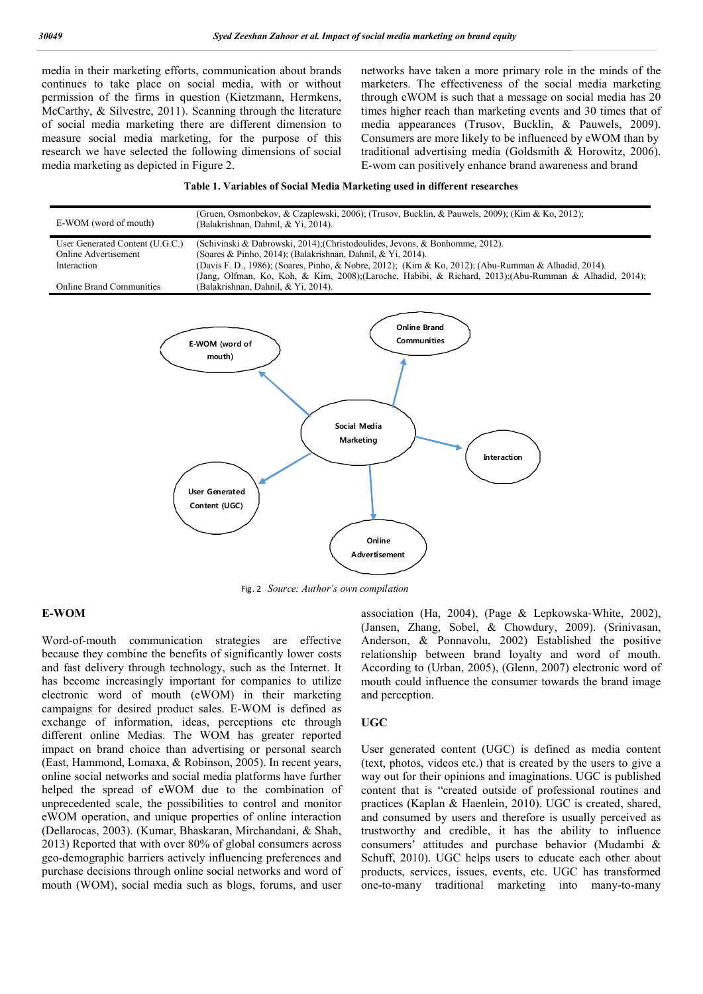media in their marketing efforts, communication about brands continues to take place on social media, with or without permission of the firms in question (Kietzmann, Hermkens, McCarthy, & Silvestre, 2011). Scanning through the literature of social media marketing there are different dimension to measure social media marketing, for the purpose of this research we have selected the following dimensions of social media marketing as depicted in Figure 2.

networks have taken a more primary role in the minds of the marketers. The effectiveness of the social media marketing through eWOM is such that a message on social media has 20 times higher reach than marketing events and 30 times that of media appearances (Trusov, Bucklin, & Pauwels, 2009). Consumers are more likely to be influenced by eWOM than by traditional advertising media (Goldsmith & Horowitz, 2006). E-wom can positively enhance brand awareness and brand

#### **Table 1. Variables of Social Media Marketing used in different researches**



Fig. 2 *Source: Author's own compilation*

#### **E-WOM**

Word-of-mouth communication strategies are effective because they combine the benefits of significantly lower costs and fast delivery through technology, such as the Internet. It has become increasingly important for companies to utilize electronic word of mouth (eWOM) in their marketing campaigns for desired product sales. E-WOM is defined as exchange of information, ideas, perceptions etc through different online Medias. The WOM has greater reported impact on brand choice than advertising or personal search (East, Hammond, Lomaxa, & Robinson, 2005). In recent years, online social networks and social media platforms have further helped the spread of eWOM due to the combination of unprecedented scale, the possibilities to control and monitor eWOM operation, and unique properties of online interaction (Dellarocas, 2003). (Kumar, Bhaskaran, Mirchandani, & Shah, 2013) Reported that with over 80% of global consumers across geo-demographic barriers actively influencing preferences and purchase decisions through online social networks and word of mouth (WOM), social media such as blogs, forums, and user

association (Ha, 2004), (Page & Lepkowska‐White, 2002), (Jansen, Zhang, Sobel, & Chowdury, 2009). (Srinivasan, Anderson, & Ponnavolu, 2002) Established the positive relationship between brand loyalty and word of mouth. According to (Urban, 2005), (Glenn, 2007) electronic word of mouth could influence the consumer towards the brand image and perception.

#### **UGC**

User generated content (UGC) is defined as media content (text, photos, videos etc.) that is created by the users to give a way out for their opinions and imaginations. UGC is published content that is "created outside of professional routines and practices (Kaplan & Haenlein, 2010). UGC is created, shared, and consumed by users and therefore is usually perceived as trustworthy and credible, it has the ability to influence consumers' attitudes and purchase behavior (Mudambi & Schuff, 2010). UGC helps users to educate each other about products, services, issues, events, etc. UGC has transformed one-to-many traditional marketing into many-to-many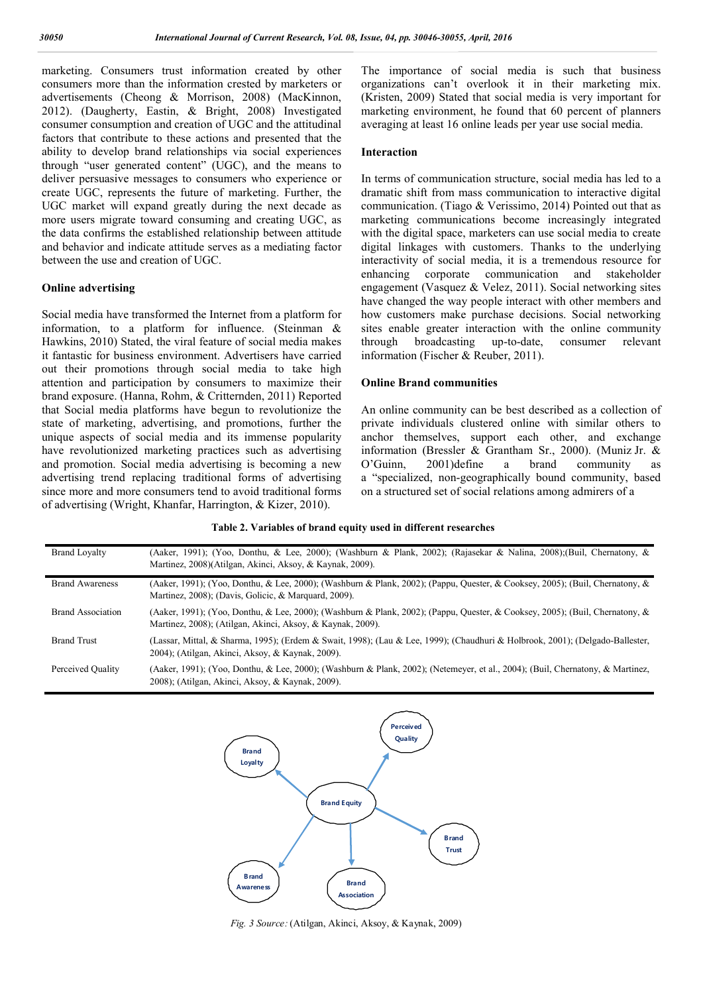marketing. Consumers trust information created by other consumers more than the information crested by marketers or advertisements (Cheong & Morrison, 2008) (MacKinnon, 2012). (Daugherty, Eastin, & Bright, 2008) Investigated consumer consumption and creation of UGC and the attitudinal factors that contribute to these actions and presented that the ability to develop brand relationships via social experiences through "user generated content" (UGC), and the means to deliver persuasive messages to consumers who experience or create UGC, represents the future of marketing. Further, the UGC market will expand greatly during the next decade as more users migrate toward consuming and creating UGC, as the data confirms the established relationship between attitude and behavior and indicate attitude serves as a mediating factor between the use and creation of UGC.

#### **Online advertising**

Social media have transformed the Internet from a platform for information, to a platform for influence. (Steinman & Hawkins, 2010) Stated, the viral feature of social media makes it fantastic for business environment. Advertisers have carried out their promotions through social media to take high attention and participation by consumers to maximize their brand exposure. (Hanna, Rohm, & Critternden, 2011) Reported that Social media platforms have begun to revolutionize the state of marketing, advertising, and promotions, further the unique aspects of social media and its immense popularity have revolutionized marketing practices such as advertising and promotion. Social media advertising is becoming a new advertising trend replacing traditional forms of advertising since more and more consumers tend to avoid traditional forms of advertising (Wright, Khanfar, Harrington, & Kizer, 2010).

The importance of social media is such that business organizations can't overlook it in their marketing mix. (Kristen, 2009) Stated that social media is very important for marketing environment, he found that 60 percent of planners averaging at least 16 online leads per year use social media.

#### **Interaction**

In terms of communication structure, social media has led to a dramatic shift from mass communication to interactive digital communication. (Tiago & Verissimo, 2014) Pointed out that as marketing communications become increasingly integrated with the digital space, marketers can use social media to create digital linkages with customers. Thanks to the underlying interactivity of social media, it is a tremendous resource for enhancing corporate communication and stakeholder engagement (Vasquez & Velez, 2011). Social networking sites have changed the way people interact with other members and how customers make purchase decisions. Social networking sites enable greater interaction with the online community through broadcasting up-to-date, consumer relevant information (Fischer & Reuber, 2011).

#### **Online Brand communities**

An online community can be best described as a collection of private individuals clustered online with similar others to anchor themselves, support each other, and exchange information (Bressler & Grantham Sr., 2000). (Muniz Jr. & O'Guinn, 2001)define a brand community as a "specialized, non-geographically bound community, based on a structured set of social relations among admirers of a

| <b>Brand Loyalty</b>     | (Aaker, 1991); (Yoo, Donthu, & Lee, 2000); (Washburn & Plank, 2002); (Rajasekar & Nalina, 2008); (Buil, Chernatony, &<br>Martinez, 2008)(Atilgan, Akinci, Aksoy, & Kaynak, 2009).          |
|--------------------------|--------------------------------------------------------------------------------------------------------------------------------------------------------------------------------------------|
| <b>Brand Awareness</b>   | (Aaker, 1991); (Yoo, Donthu, & Lee, 2000); (Washburn & Plank, 2002); (Pappu, Quester, & Cooksey, 2005); (Buil, Chernatony, &<br>Martinez, 2008); (Davis, Golicic, & Marguard, 2009).       |
| <b>Brand Association</b> | (Aaker, 1991); (Yoo, Donthu, & Lee, 2000); (Washburn & Plank, 2002); (Pappu, Quester, & Cooksey, 2005); (Buil, Chernatony, &<br>Martinez, 2008); (Atilgan, Akinci, Aksoy, & Kaynak, 2009). |
| <b>Brand Trust</b>       | (Lassar, Mittal, & Sharma, 1995); (Erdem & Swait, 1998); (Lau & Lee, 1999); (Chaudhuri & Holbrook, 2001); (Delgado-Ballester,<br>2004); (Atilgan, Akinci, Aksoy, & Kaynak, 2009).          |
| Perceived Quality        | (Aaker, 1991); (Yoo, Donthu, & Lee, 2000); (Washburn & Plank, 2002); (Netemeyer, et al., 2004); (Buil, Chernatony, & Martinez,<br>2008); (Atilgan, Akinci, Aksoy, & Kaynak, 2009).         |
|                          |                                                                                                                                                                                            |

**Table 2. Variables of brand equity used in different researches**



*Fig. 3 Source:* (Atilgan, Akinci, Aksoy, & Kaynak, 2009)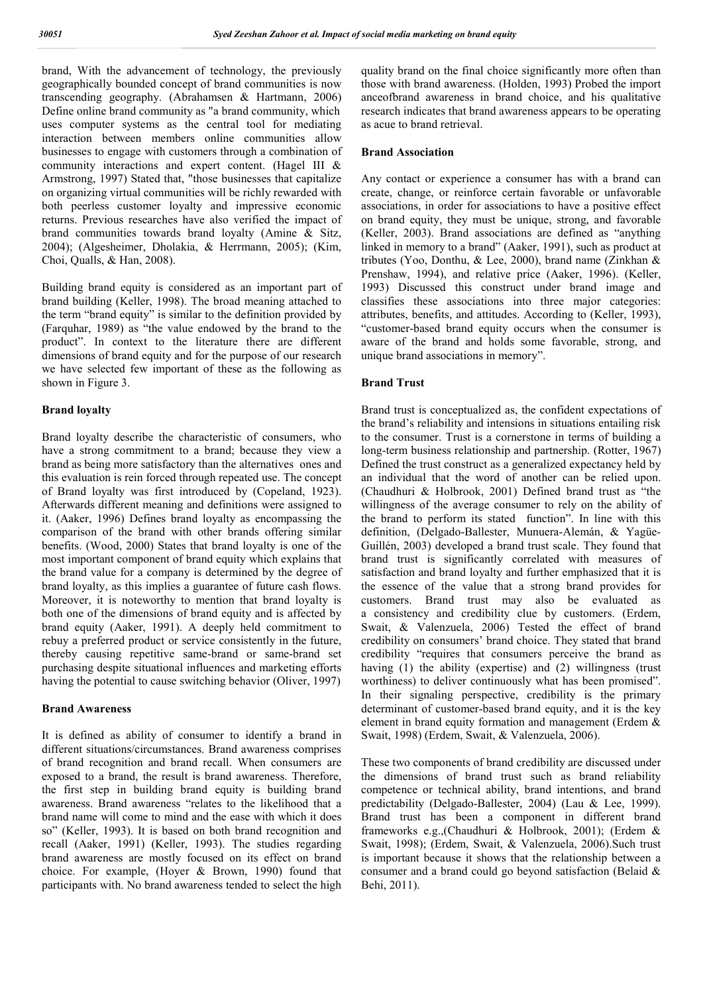brand, With the advancement of technology, the previously geographically bounded concept of brand communities is now transcending geography. (Abrahamsen & Hartmann, 2006) Define online brand community as "a brand community, which uses computer systems as the central tool for mediating interaction between members online communities allow businesses to engage with customers through a combination of community interactions and expert content. (Hagel III & Armstrong, 1997) Stated that, "those businesses that capitalize on organizing virtual communities will be richly rewarded with both peerless customer loyalty and impressive economic returns. Previous researches have also verified the impact of brand communities towards brand loyalty (Amine & Sitz, 2004); (Algesheimer, Dholakia, & Herrmann, 2005); (Kim, Choi, Qualls, & Han, 2008).

Building brand equity is considered as an important part of brand building (Keller, 1998). The broad meaning attached to the term "brand equity" is similar to the definition provided by (Farquhar, 1989) as "the value endowed by the brand to the product". In context to the literature there are different dimensions of brand equity and for the purpose of our research we have selected few important of these as the following as shown in Figure 3.

#### **Brand loyalty**

Brand loyalty describe the characteristic of consumers, who have a strong commitment to a brand; because they view a brand as being more satisfactory than the alternatives ones and this evaluation is rein forced through repeated use. The concept of Brand loyalty was first introduced by (Copeland, 1923). Afterwards different meaning and definitions were assigned to it. (Aaker, 1996) Defines brand loyalty as encompassing the comparison of the brand with other brands offering similar benefits. (Wood, 2000) States that brand loyalty is one of the most important component of brand equity which explains that the brand value for a company is determined by the degree of brand loyalty, as this implies a guarantee of future cash flows. Moreover, it is noteworthy to mention that brand loyalty is both one of the dimensions of brand equity and is affected by brand equity (Aaker, 1991). A deeply held commitment to rebuy a preferred product or service consistently in the future, thereby causing repetitive same-brand or same-brand set purchasing despite situational influences and marketing efforts having the potential to cause switching behavior (Oliver, 1997)

#### **Brand Awareness**

It is defined as ability of consumer to identify a brand in different situations/circumstances. Brand awareness comprises of brand recognition and brand recall. When consumers are exposed to a brand, the result is brand awareness. Therefore, the first step in building brand equity is building brand awareness. Brand awareness "relates to the likelihood that a brand name will come to mind and the ease with which it does so" (Keller, 1993). It is based on both brand recognition and recall (Aaker, 1991) (Keller, 1993). The studies regarding brand awareness are mostly focused on its effect on brand choice. For example, (Hoyer & Brown, 1990) found that participants with. No brand awareness tended to select the high quality brand on the final choice significantly more often than those with brand awareness. (Holden, 1993) Probed the import anceofbrand awareness in brand choice, and his qualitative research indicates that brand awareness appears to be operating as acue to brand retrieval.

#### **Brand Association**

Any contact or experience a consumer has with a brand can create, change, or reinforce certain favorable or unfavorable associations, in order for associations to have a positive effect on brand equity, they must be unique, strong, and favorable (Keller, 2003). Brand associations are defined as "anything linked in memory to a brand" (Aaker, 1991), such as product at tributes (Yoo, Donthu, & Lee, 2000), brand name (Zinkhan & Prenshaw, 1994), and relative price (Aaker, 1996). (Keller, 1993) Discussed this construct under brand image and classifies these associations into three major categories: attributes, benefits, and attitudes. According to (Keller, 1993), "customer-based brand equity occurs when the consumer is aware of the brand and holds some favorable, strong, and unique brand associations in memory".

#### **Brand Trust**

Brand trust is conceptualized as, the confident expectations of the brand's reliability and intensions in situations entailing risk to the consumer. Trust is a cornerstone in terms of building a long-term business relationship and partnership. (Rotter, 1967) Defined the trust construct as a generalized expectancy held by an individual that the word of another can be relied upon. (Chaudhuri & Holbrook, 2001) Defined brand trust as "the willingness of the average consumer to rely on the ability of the brand to perform its stated function". In line with this definition, (Delgado-Ballester, Munuera-Alemán, & Yagüe-Guillén, 2003) developed a brand trust scale. They found that brand trust is significantly correlated with measures of satisfaction and brand loyalty and further emphasized that it is the essence of the value that a strong brand provides for customers. Brand trust may also be evaluated as a consistency and credibility clue by customers. (Erdem, Swait, & Valenzuela, 2006) Tested the effect of brand credibility on consumers' brand choice. They stated that brand credibility "requires that consumers perceive the brand as having (1) the ability (expertise) and (2) willingness (trust worthiness) to deliver continuously what has been promised". In their signaling perspective, credibility is the primary determinant of customer-based brand equity, and it is the key element in brand equity formation and management (Erdem & Swait, 1998) (Erdem, Swait, & Valenzuela, 2006).

These two components of brand credibility are discussed under the dimensions of brand trust such as brand reliability competence or technical ability, brand intentions, and brand predictability (Delgado-Ballester, 2004) (Lau & Lee, 1999). Brand trust has been a component in different brand frameworks e.g.,(Chaudhuri & Holbrook, 2001); (Erdem & Swait, 1998); (Erdem, Swait, & Valenzuela, 2006).Such trust is important because it shows that the relationship between a consumer and a brand could go beyond satisfaction (Belaid & Behi, 2011).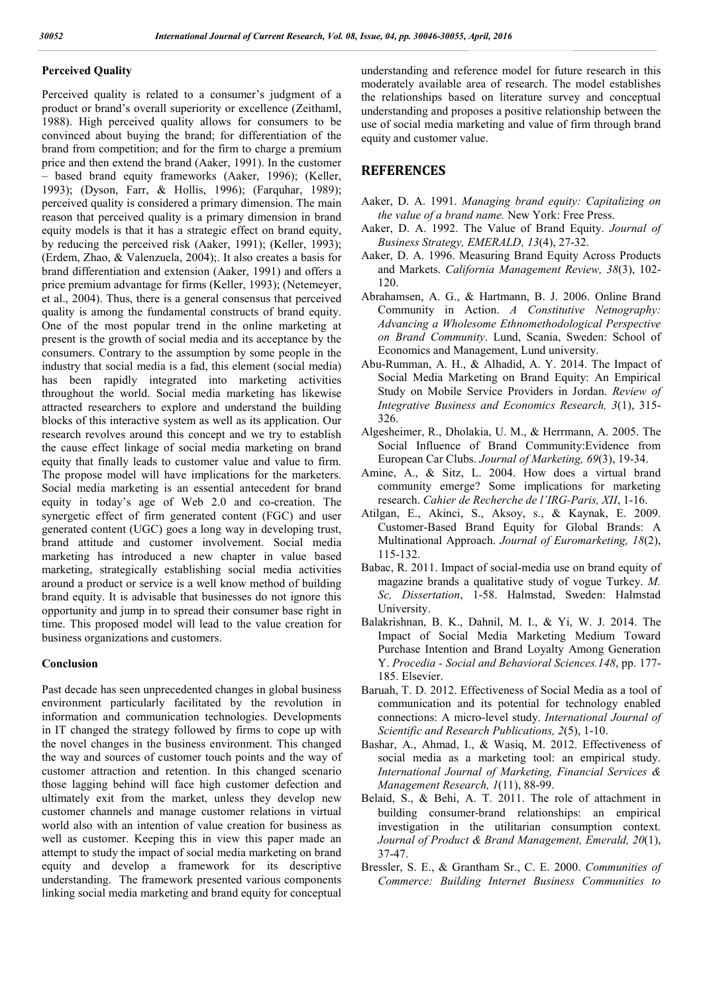#### **Perceived Quality**

Perceived quality is related to a consumer's judgment of a product or brand's overall superiority or excellence (Zeithaml, 1988). High perceived quality allows for consumers to be convinced about buying the brand; for differentiation of the brand from competition; and for the firm to charge a premium price and then extend the brand (Aaker, 1991). In the customer – based brand equity frameworks (Aaker, 1996); (Keller, 1993); (Dyson, Farr, & Hollis, 1996); (Farquhar, 1989); perceived quality is considered a primary dimension. The main reason that perceived quality is a primary dimension in brand equity models is that it has a strategic effect on brand equity, by reducing the perceived risk (Aaker, 1991); (Keller, 1993); (Erdem, Zhao, & Valenzuela, 2004);. It also creates a basis for brand differentiation and extension (Aaker, 1991) and offers a price premium advantage for firms (Keller, 1993); (Netemeyer, et al., 2004). Thus, there is a general consensus that perceived quality is among the fundamental constructs of brand equity. One of the most popular trend in the online marketing at present is the growth of social media and its acceptance by the consumers. Contrary to the assumption by some people in the industry that social media is a fad, this element (social media) has been rapidly integrated into marketing activities throughout the world. Social media marketing has likewise attracted researchers to explore and understand the building blocks of this interactive system as well as its application. Our research revolves around this concept and we try to establish the cause effect linkage of social media marketing on brand equity that finally leads to customer value and value to firm. The propose model will have implications for the marketers. Social media marketing is an essential antecedent for brand equity in today's age of Web 2.0 and co-creation. The synergetic effect of firm generated content (FGC) and user generated content (UGC) goes a long way in developing trust, brand attitude and customer involvement. Social media marketing has introduced a new chapter in value based marketing, strategically establishing social media activities around a product or service is a well know method of building brand equity. It is advisable that businesses do not ignore this opportunity and jump in to spread their consumer base right in time. This proposed model will lead to the value creation for business organizations and customers.

#### **Conclusion**

Past decade has seen unprecedented changes in global business environment particularly facilitated by the revolution in information and communication technologies. Developments in IT changed the strategy followed by firms to cope up with the novel changes in the business environment. This changed the way and sources of customer touch points and the way of customer attraction and retention. In this changed scenario those lagging behind will face high customer defection and ultimately exit from the market, unless they develop new customer channels and manage customer relations in virtual world also with an intention of value creation for business as well as customer. Keeping this in view this paper made an attempt to study the impact of social media marketing on brand equity and develop a framework for its descriptive understanding. The framework presented various components linking social media marketing and brand equity for conceptual

understanding and reference model for future research in this moderately available area of research. The model establishes the relationships based on literature survey and conceptual understanding and proposes a positive relationship between the use of social media marketing and value of firm through brand equity and customer value.

# **REFERENCES**

- Aaker, D. A. 1991. *Managing brand equity: Capitalizing on the value of a brand name.* New York: Free Press.
- Aaker, D. A. 1992. The Value of Brand Equity. *Journal of Business Strategy, EMERALD, 13*(4), 27-32.
- Aaker, D. A. 1996. Measuring Brand Equity Across Products and Markets. *California Management Review, 38*(3), 102- 120.
- Abrahamsen, A. G., & Hartmann, B. J. 2006. Online Brand Community in Action. *A Constitutive Netnography: Advancing a Wholesome Ethnomethodological Perspective on Brand Community*. Lund, Scania, Sweden: School of Economics and Management, Lund university.
- Abu-Rumman, A. H., & Alhadid, A. Y. 2014. The Impact of Social Media Marketing on Brand Equity: An Empirical Study on Mobile Service Providers in Jordan. *Review of Integrative Business and Economics Research, 3*(1), 315- 326.
- Algesheimer, R., Dholakia, U. M., & Herrmann, A. 2005. The Social Influence of Brand Community:Evidence from European Car Clubs. *Journal of Marketing, 69*(3), 19-34.
- Amine, A., & Sitz, L. 2004. How does a virtual brand community emerge? Some implications for marketing research. *Cahier de Recherche de l'IRG-Paris, XII*, 1-16.
- Atilgan, E., Akinci, S., Aksoy, s., & Kaynak, E. 2009. Customer-Based Brand Equity for Global Brands: A Multinational Approach. *Journal of Euromarketing, 18*(2), 115-132.
- Babac, R. 2011. Impact of social-media use on brand equity of magazine brands a qualitative study of vogue Turkey. *M. Sc, Dissertation*, 1-58. Halmstad, Sweden: Halmstad University.
- Balakrishnan, B. K., Dahnil, M. I., & Yi, W. J. 2014. The Impact of Social Media Marketing Medium Toward Purchase Intention and Brand Loyalty Among Generation Y. *Procedia - Social and Behavioral Sciences.148*, pp. 177- 185. Elsevier.
- Baruah, T. D. 2012. Effectiveness of Social Media as a tool of communication and its potential for technology enabled connections: A micro-level study. *International Journal of Scientific and Research Publications, 2*(5), 1-10.
- Bashar, A., Ahmad, I., & Wasiq, M. 2012. Effectiveness of social media as a marketing tool: an empirical study. *International Journal of Marketing, Financial Services & Management Research, 1*(11), 88-99.
- Belaid, S., & Behi, A. T. 2011. The role of attachment in building consumer‐brand relationships: an empirical investigation in the utilitarian consumption context. *Journal of Product & Brand Management, Emerald, 20*(1), 37-47.
- Bressler, S. E., & Grantham Sr., C. E. 2000. *Communities of Commerce: Building Internet Business Communities to*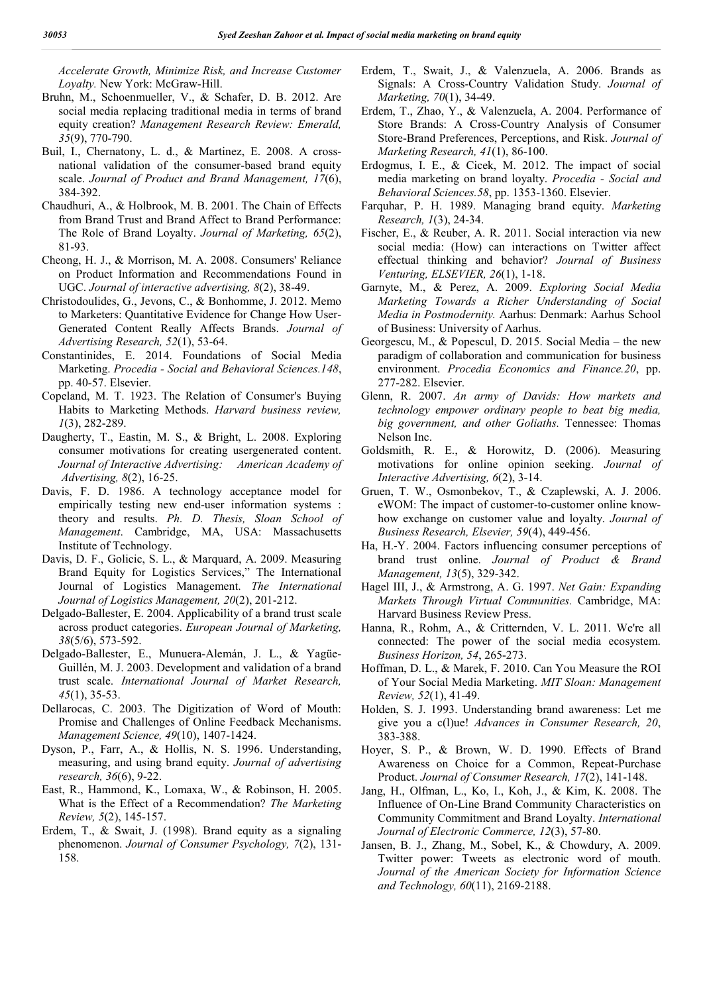*Accelerate Growth, Minimize Risk, and Increase Customer Loyalty.* New York: McGraw-Hill.

- Bruhn, M., Schoenmueller, V., & Schafer, D. B. 2012. Are social media replacing traditional media in terms of brand equity creation? *Management Research Review: Emerald, 35*(9), 770-790.
- Buil, I., Chernatony, L. d., & Martinez, E. 2008. A crossnational validation of the consumer-based brand equity scale. *Journal of Product and Brand Management, 17*(6), 384-392.
- Chaudhuri, A., & Holbrook, M. B. 2001. The Chain of Effects from Brand Trust and Brand Affect to Brand Performance: The Role of Brand Loyalty. *Journal of Marketing, 65*(2), 81-93.
- Cheong, H. J., & Morrison, M. A. 2008. Consumers' Reliance on Product Information and Recommendations Found in UGC. *Journal of interactive advertising, 8*(2), 38-49.
- Christodoulides, G., Jevons, C., & Bonhomme, J. 2012. Memo to Marketers: Quantitative Evidence for Change How User-Generated Content Really Affects Brands. *Journal of Advertising Research, 52*(1), 53-64.
- Constantinides, E. 2014. Foundations of Social Media Marketing. *Procedia - Social and Behavioral Sciences.148*, pp. 40-57. Elsevier.
- Copeland, M. T. 1923. The Relation of Consumer's Buying Habits to Marketing Methods. *Harvard business review, 1*(3), 282-289.
- Daugherty, T., Eastin, M. S., & Bright, L. 2008. Exploring consumer motivations for creating usergenerated content. *Journal of Interactive Advertising: American Academy of Advertising, 8*(2), 16-25.
- Davis, F. D. 1986. A technology acceptance model for empirically testing new end-user information systems : theory and results. *Ph. D. Thesis, Sloan School of Management*. Cambridge, MA, USA: Massachusetts Institute of Technology.
- Davis, D. F., Golicic, S. L., & Marquard, A. 2009. Measuring Brand Equity for Logistics Services," The International Journal of Logistics Management. *The International Journal of Logistics Management, 20*(2), 201-212.
- Delgado-Ballester, E. 2004. Applicability of a brand trust scale across product categories. *European Journal of Marketing, 38*(5/6), 573-592.
- Delgado-Ballester, E., Munuera-Alemán, J. L., & Yagüe-Guillén, M. J. 2003. Development and validation of a brand trust scale. *International Journal of Market Research, 45*(1), 35-53.
- Dellarocas, C. 2003. The Digitization of Word of Mouth: Promise and Challenges of Online Feedback Mechanisms. *Management Science, 49*(10), 1407-1424.
- Dyson, P., Farr, A., & Hollis, N. S. 1996. Understanding, measuring, and using brand equity. *Journal of advertising research, 36*(6), 9-22.
- East, R., Hammond, K., Lomaxa, W., & Robinson, H. 2005. What is the Effect of a Recommendation? *The Marketing Review, 5*(2), 145-157.
- Erdem, T., & Swait, J. (1998). Brand equity as a signaling phenomenon. *Journal of Consumer Psychology, 7*(2), 131- 158.
- Erdem, T., Swait, J., & Valenzuela, A. 2006. Brands as Signals: A Cross-Country Validation Study. *Journal of Marketing, 70*(1), 34-49.
- Erdem, T., Zhao, Y., & Valenzuela, A. 2004. Performance of Store Brands: A Cross-Country Analysis of Consumer Store-Brand Preferences, Perceptions, and Risk. *Journal of Marketing Research, 41*(1), 86-100.
- Erdogmus, I. E., & Cicek, M. 2012. The impact of social media marketing on brand loyalty. *Procedia - Social and Behavioral Sciences.58*, pp. 1353-1360. Elsevier.
- Farquhar, P. H. 1989. Managing brand equity. *Marketing Research, 1*(3), 24-34.
- Fischer, E., & Reuber, A. R. 2011. Social interaction via new social media: (How) can interactions on Twitter affect effectual thinking and behavior? *Journal of Business Venturing, ELSEVIER, 26*(1), 1-18.
- Garnyte, M., & Perez, A. 2009. *Exploring Social Media Marketing Towards a Richer Understanding of Social Media in Postmodernity.* Aarhus: Denmark: Aarhus School of Business: University of Aarhus.
- Georgescu, M., & Popescul, D. 2015. Social Media the new paradigm of collaboration and communication for business environment. *Procedia Economics and Finance.20*, pp. 277-282. Elsevier.
- Glenn, R. 2007. *An army of Davids: How markets and technology empower ordinary people to beat big media, big government, and other Goliaths.* Tennessee: Thomas Nelson Inc.
- Goldsmith, R. E., & Horowitz, D. (2006). Measuring motivations for online opinion seeking. *Journal of Interactive Advertising, 6*(2), 3-14.
- Gruen, T. W., Osmonbekov, T., & Czaplewski, A. J. 2006. eWOM: The impact of customer-to-customer online knowhow exchange on customer value and loyalty. *Journal of Business Research, Elsevier, 59*(4), 449-456.
- Ha, H.‐Y. 2004. Factors influencing consumer perceptions of brand trust online. *Journal of Product & Brand Management, 13*(5), 329-342.
- Hagel III, J., & Armstrong, A. G. 1997. *Net Gain: Expanding Markets Through Virtual Communities.* Cambridge, MA: Harvard Business Review Press.
- Hanna, R., Rohm, A., & Critternden, V. L. 2011. We're all connected: The power of the social media ecosystem. *Business Horizon, 54*, 265-273.
- Hoffman, D. L., & Marek, F. 2010. Can You Measure the ROI of Your Social Media Marketing. *MIT Sloan: Management Review, 52*(1), 41-49.
- Holden, S. J. 1993. Understanding brand awareness: Let me give you a c(l)ue! *Advances in Consumer Research, 20*, 383-388.
- Hoyer, S. P., & Brown, W. D. 1990. Effects of Brand Awareness on Choice for a Common, Repeat-Purchase Product. *Journal of Consumer Research, 17*(2), 141-148.
- Jang, H., Olfman, L., Ko, I., Koh, J., & Kim, K. 2008. The Influence of On-Line Brand Community Characteristics on Community Commitment and Brand Loyalty. *International Journal of Electronic Commerce, 12*(3), 57-80.
- Jansen, B. J., Zhang, M., Sobel, K., & Chowdury, A. 2009. Twitter power: Tweets as electronic word of mouth. *Journal of the American Society for Information Science and Technology, 60*(11), 2169-2188.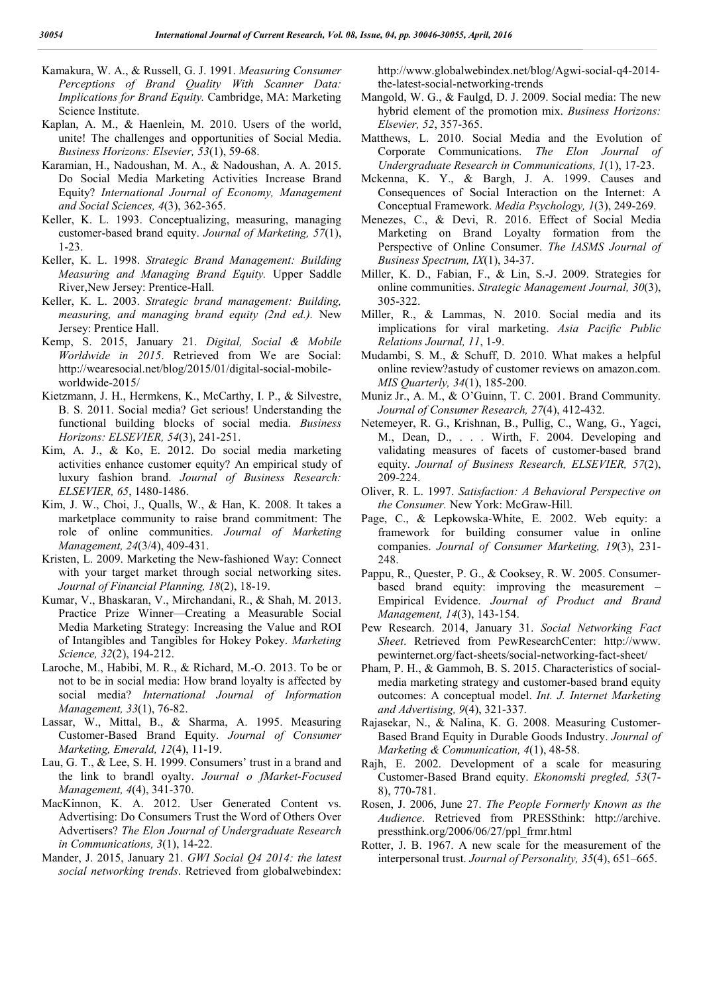- Kamakura, W. A., & Russell, G. J. 1991. *Measuring Consumer Perceptions of Brand Quality With Scanner Data: Implications for Brand Equity.* Cambridge, MA: Marketing Science Institute.
- Kaplan, A. M., & Haenlein, M. 2010. Users of the world, unite! The challenges and opportunities of Social Media. *Business Horizons: Elsevier, 53*(1), 59-68.
- Karamian, H., Nadoushan, M. A., & Nadoushan, A. A. 2015. Do Social Media Marketing Activities Increase Brand Equity? *International Journal of Economy, Management and Social Sciences, 4*(3), 362-365.
- Keller, K. L. 1993. Conceptualizing, measuring, managing customer-based brand equity. *Journal of Marketing, 57*(1), 1-23.
- Keller, K. L. 1998. *Strategic Brand Management: Building Measuring and Managing Brand Equity.* Upper Saddle River,New Jersey: Prentice-Hall.
- Keller, K. L. 2003. *Strategic brand management: Building, measuring, and managing brand equity (2nd ed.).* New Jersey: Prentice Hall.
- Kemp, S. 2015, January 21. *Digital, Social & Mobile Worldwide in 2015*. Retrieved from We are Social: http://wearesocial.net/blog/2015/01/digital-social-mobileworldwide-2015/
- Kietzmann, J. H., Hermkens, K., McCarthy, I. P., & Silvestre, B. S. 2011. Social media? Get serious! Understanding the functional building blocks of social media. *Business Horizons: ELSEVIER, 54*(3), 241-251.
- Kim, A. J., & Ko, E. 2012. Do social media marketing activities enhance customer equity? An empirical study of luxury fashion brand. *Journal of Business Research: ELSEVIER, 65*, 1480-1486.
- Kim, J. W., Choi, J., Qualls, W., & Han, K. 2008. It takes a marketplace community to raise brand commitment: The role of online communities. *Journal of Marketing Management, 24*(3/4), 409-431.
- Kristen, L. 2009. Marketing the New-fashioned Way: Connect with your target market through social networking sites. *Journal of Financial Planning, 18*(2), 18-19.
- Kumar, V., Bhaskaran, V., Mirchandani, R., & Shah, M. 2013. Practice Prize Winner—Creating a Measurable Social Media Marketing Strategy: Increasing the Value and ROI of Intangibles and Tangibles for Hokey Pokey. *Marketing Science, 32*(2), 194-212.
- Laroche, M., Habibi, M. R., & Richard, M.-O. 2013. To be or not to be in social media: How brand loyalty is affected by social media? *International Journal of Information Management, 33*(1), 76-82.
- Lassar, W., Mittal, B., & Sharma, A. 1995. Measuring Customer-Based Brand Equity. *Journal of Consumer Marketing, Emerald, 12*(4), 11-19.
- Lau, G. T., & Lee, S. H. 1999. Consumers' trust in a brand and the link to brandl oyalty. *Journal o fMarket-Focused Management, 4*(4), 341-370.
- MacKinnon, K. A. 2012. User Generated Content vs. Advertising: Do Consumers Trust the Word of Others Over Advertisers? *The Elon Journal of Undergraduate Research in Communications, 3*(1), 14-22.
- Mander, J. 2015, January 21. *GWI Social Q4 2014: the latest social networking trends*. Retrieved from globalwebindex:

http://www.globalwebindex.net/blog/Agwi-social-q4-2014 the-latest-social-networking-trends

- Mangold, W. G., & Faulgd, D. J. 2009. Social media: The new hybrid element of the promotion mix. *Business Horizons: Elsevier, 52*, 357-365.
- Matthews, L. 2010. Social Media and the Evolution of Corporate Communications. *The Elon Journal of Undergraduate Research in Communications, 1*(1), 17-23.
- Mckenna, K. Y., & Bargh, J. A. 1999. Causes and Consequences of Social Interaction on the Internet: A Conceptual Framework. *Media Psychology, 1*(3), 249-269.
- Menezes, C., & Devi, R. 2016. Effect of Social Media Marketing on Brand Loyalty formation from the Perspective of Online Consumer. *The IASMS Journal of Business Spectrum, IX*(1), 34-37.
- Miller, K. D., Fabian, F., & Lin, S.-J. 2009. Strategies for online communities. *Strategic Management Journal, 30*(3), 305-322.
- Miller, R., & Lammas, N. 2010. Social media and its implications for viral marketing. *Asia Pacific Public Relations Journal, 11*, 1-9.
- Mudambi, S. M., & Schuff, D. 2010. What makes a helpful online review?astudy of customer reviews on amazon.com. *MIS Quarterly, 34*(1), 185-200.
- Muniz Jr., A. M., & O'Guinn, T. C. 2001. Brand Community. *Journal of Consumer Research, 27*(4), 412-432.
- Netemeyer, R. G., Krishnan, B., Pullig, C., Wang, G., Yagci, M., Dean, D., . . . Wirth, F. 2004. Developing and validating measures of facets of customer-based brand equity. *Journal of Business Research, ELSEVIER, 57*(2), 209-224.
- Oliver, R. L. 1997. *Satisfaction: A Behavioral Perspective on the Consumer.* New York: McGraw-Hill.
- Page, C., & Lepkowska‐White, E. 2002. Web equity: a framework for building consumer value in online companies. *Journal of Consumer Marketing, 19*(3), 231- 248.
- Pappu, R., Quester, P. G., & Cooksey, R. W. 2005. Consumerbased brand equity: improving the measurement – Empirical Evidence. *Journal of Product and Brand Management, 14*(3), 143-154.
- Pew Research. 2014, January 31. *Social Networking Fact Sheet*. Retrieved from PewResearchCenter: http://www. pewinternet.org/fact-sheets/social-networking-fact-sheet/
- Pham, P. H., & Gammoh, B. S. 2015. Characteristics of socialmedia marketing strategy and customer-based brand equity outcomes: A conceptual model. *Int. J. Internet Marketing and Advertising, 9*(4), 321-337.
- Rajasekar, N., & Nalina, K. G. 2008. Measuring Customer-Based Brand Equity in Durable Goods Industry. *Journal of Marketing & Communication, 4*(1), 48-58.
- Rajh, E. 2002. Development of a scale for measuring Customer-Based Brand equity. *Ekonomski pregled, 53*(7- 8), 770-781.
- Rosen, J. 2006, June 27. *The People Formerly Known as the Audience*. Retrieved from PRESSthink: http://archive. pressthink.org/2006/06/27/ppl\_frmr.html
- Rotter, J. B. 1967. A new scale for the measurement of the interpersonal trust. *Journal of Personality, 35*(4), 651–665.